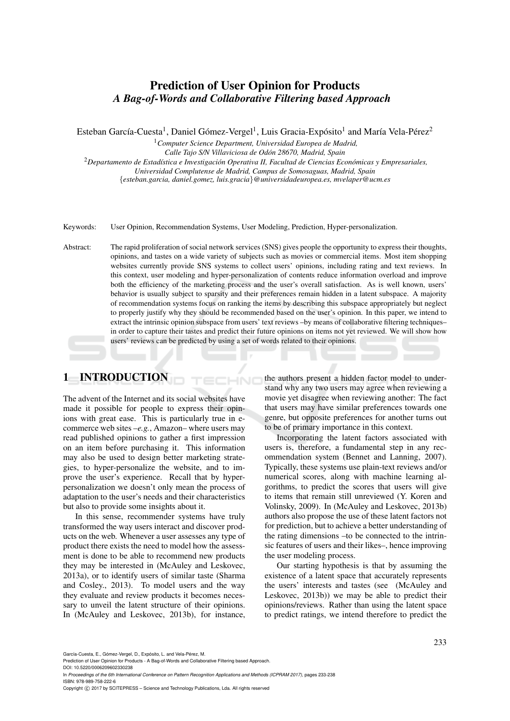# Prediction of User Opinion for Products *A Bag-of-Words and Collaborative Filtering based Approach*

Esteban García-Cuesta<sup>1</sup>, Daniel Gómez-Vergel<sup>1</sup>, Luis Gracia-Expósito<sup>1</sup> and María Vela-Pérez<sup>2</sup>

<sup>1</sup>*Computer Science Department, Universidad Europea de Madrid, Calle Tajo S/N Villaviciosa de Odon 28670, Madrid, Spain ´* <sup>2</sup>*Departamento de Estad´ıstica e Investigacion Operativa II, Facultad de Ciencias Econ ´ omicas y Empresariales, ´ Universidad Complutense de Madrid, Campus de Somosaguas, Madrid, Spain* {*esteban.garcia, daniel.gomez, luis.gracia*}*@universidadeuropea.es, mvelaper@ucm.es*

Keywords: User Opinion, Recommendation Systems, User Modeling, Prediction, Hyper-personalization.

Abstract: The rapid proliferation of social network services (SNS) gives people the opportunity to express their thoughts, opinions, and tastes on a wide variety of subjects such as movies or commercial items. Most item shopping websites currently provide SNS systems to collect users' opinions, including rating and text reviews. In this context, user modeling and hyper-personalization of contents reduce information overload and improve both the efficiency of the marketing process and the user's overall satisfaction. As is well known, users' behavior is usually subject to sparsity and their preferences remain hidden in a latent subspace. A majority of recommendation systems focus on ranking the items by describing this subspace appropriately but neglect to properly justify why they should be recommended based on the user's opinion. In this paper, we intend to extract the intrinsic opinion subspace from users' text reviews –by means of collaborative filtering techniques– in order to capture their tastes and predict their future opinions on items not yet reviewed. We will show how users' reviews can be predicted by using a set of words related to their opinions.

# 1 INTRODUCTION

The advent of the Internet and its social websites have made it possible for people to express their opinions with great ease. This is particularly true in ecommerce web sites –*e.g.*, Amazon– where users may read published opinions to gather a first impression on an item before purchasing it. This information may also be used to design better marketing strategies, to hyper-personalize the website, and to improve the user's experience. Recall that by hyperpersonalization we doesn't only mean the process of adaptation to the user's needs and their characteristics but also to provide some insights about it.

In this sense, recommender systems have truly transformed the way users interact and discover products on the web. Whenever a user assesses any type of product there exists the need to model how the assessment is done to be able to recommend new products they may be interested in (McAuley and Leskovec, 2013a), or to identify users of similar taste (Sharma and Cosley., 2013). To model users and the way they evaluate and review products it becomes necessary to unveil the latent structure of their opinions. In (McAuley and Leskovec, 2013b), for instance,

the authors present a hidden factor model to understand why any two users may agree when reviewing a movie yet disagree when reviewing another: The fact that users may have similar preferences towards one genre, but opposite preferences for another turns out to be of primary importance in this context.

Incorporating the latent factors associated with users is, therefore, a fundamental step in any recommendation system (Bennet and Lanning, 2007). Typically, these systems use plain-text reviews and/or numerical scores, along with machine learning algorithms, to predict the scores that users will give to items that remain still unreviewed (Y. Koren and Volinsky, 2009). In (McAuley and Leskovec, 2013b) authors also propose the use of these latent factors not for prediction, but to achieve a better understanding of the rating dimensions –to be connected to the intrinsic features of users and their likes–, hence improving the user modeling process.

Our starting hypothesis is that by assuming the existence of a latent space that accurately represents the users' interests and tastes (see (McAuley and Leskovec, 2013b)) we may be able to predict their opinions/reviews. Rather than using the latent space to predict ratings, we intend therefore to predict the

García-Cuesta, E., Gómez-Vergel, D., Expósito, L. and Vela-Pérez, M.

- DOI: 10.5220/0006209602330238 In *Proceedings of the 6th International Conference on Pattern Recognition Applications and Methods (ICPRAM 2017)*, pages 233-238 ISBN: 978-989-758-222-6
- Copyright © 2017 by SCITEPRESS Science and Technology Publications, Lda. All rights reserved

Prediction of User Opinion for Products - A Bag-of-Words and Collaborative Filtering based Approach.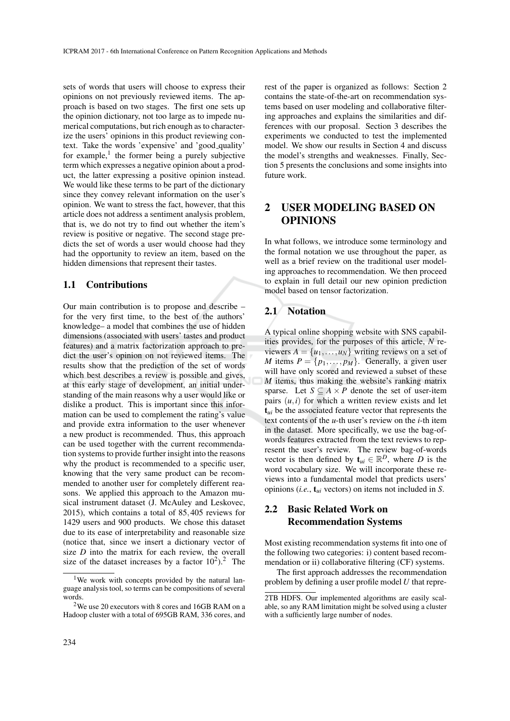sets of words that users will choose to express their opinions on not previously reviewed items. The approach is based on two stages. The first one sets up the opinion dictionary, not too large as to impede numerical computations, but rich enough as to characterize the users' opinions in this product reviewing context. Take the words 'expensive' and 'good quality' for example,<sup>1</sup> the former being a purely subjective term which expresses a negative opinion about a product, the latter expressing a positive opinion instead. We would like these terms to be part of the dictionary since they convey relevant information on the user's opinion. We want to stress the fact, however, that this article does not address a sentiment analysis problem, that is, we do not try to find out whether the item's review is positive or negative. The second stage predicts the set of words a user would choose had they had the opportunity to review an item, based on the hidden dimensions that represent their tastes.

### 1.1 Contributions

Our main contribution is to propose and describe – for the very first time, to the best of the authors' knowledge– a model that combines the use of hidden dimensions (associated with users' tastes and product features) and a matrix factorization approach to predict the user's opinion on not reviewed items. The results show that the prediction of the set of words which best describes a review is possible and gives, at this early stage of development, an initial understanding of the main reasons why a user would like or dislike a product. This is important since this information can be used to complement the rating's value and provide extra information to the user whenever a new product is recommended. Thus, this approach can be used together with the current recommendation systems to provide further insight into the reasons why the product is recommended to a specific user, knowing that the very same product can be recommended to another user for completely different reasons. We applied this approach to the Amazon musical instrument dataset (J. McAuley and Leskovec, 2015), which contains a total of 85,405 reviews for 1429 users and 900 products. We chose this dataset due to its ease of interpretability and reasonable size (notice that, since we insert a dictionary vector of size *D* into the matrix for each review, the overall size of the dataset increases by a factor  $10^2$ ).<sup>2</sup> The

rest of the paper is organized as follows: Section 2 contains the state-of-the-art on recommendation systems based on user modeling and collaborative filtering approaches and explains the similarities and differences with our proposal. Section 3 describes the experiments we conducted to test the implemented model. We show our results in Section 4 and discuss the model's strengths and weaknesses. Finally, Section 5 presents the conclusions and some insights into future work.

### 2 USER MODELING BASED ON OPINIONS

In what follows, we introduce some terminology and the formal notation we use throughout the paper, as well as a brief review on the traditional user modeling approaches to recommendation. We then proceed to explain in full detail our new opinion prediction model based on tensor factorization.

#### 2.1 Notation

A typical online shopping website with SNS capabilities provides, for the purposes of this article, *N* reviewers  $A = \{u_1, \ldots, u_N\}$  writing reviews on a set of *M* items  $P = \{p_1, \ldots, p_M\}$ . Generally, a given user will have only scored and reviewed a subset of these *M* items, thus making the website's ranking matrix sparse. Let  $S \subseteq A \times P$  denote the set of user-item pairs  $(u, i)$  for which a written review exists and let t*ui* be the associated feature vector that represents the text contents of the *u*-th user's review on the *i*-th item in the dataset. More specifically, we use the bag-ofwords features extracted from the text reviews to represent the user's review. The review bag-of-words vector is then defined by  $\mathbf{t}_{ui} \in \mathbb{R}^D$ , where *D* is the word vocabulary size. We will incorporate these reviews into a fundamental model that predicts users' opinions (*i.e.*, t*ui* vectors) on items not included in *S*.

### 2.2 Basic Related Work on Recommendation Systems

Most existing recommendation systems fit into one of the following two categories: i) content based recommendation or ii) collaborative filtering (CF) systems.

The first approach addresses the recommendation problem by defining a user profile model *U* that repre-

<sup>&</sup>lt;sup>1</sup>We work with concepts provided by the natural language analysis tool, so terms can be compositions of several words.

<sup>2</sup>We use 20 executors with 8 cores and 16GB RAM on a Hadoop cluster with a total of 695GB RAM, 336 cores, and

<sup>2</sup>TB HDFS. Our implemented algorithms are easily scalable, so any RAM limitation might be solved using a cluster with a sufficiently large number of nodes.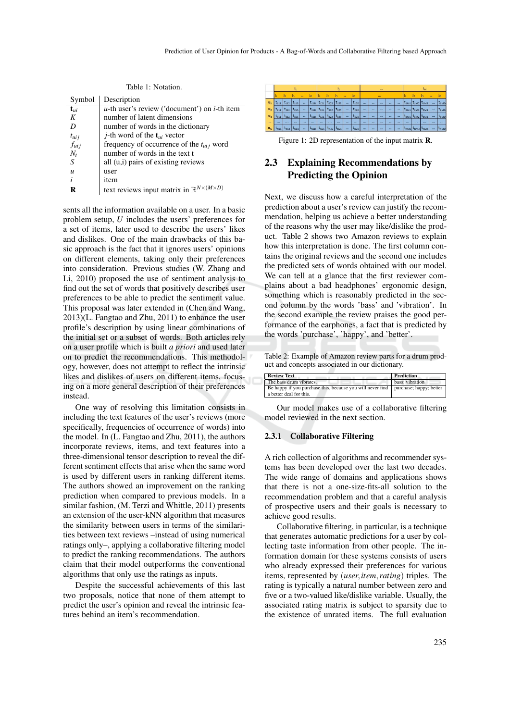Table 1: Notation.

| Description                                                       |
|-------------------------------------------------------------------|
| $u$ -th user's review ('document') on <i>i</i> -th item           |
| number of latent dimensions                                       |
| number of words in the dictionary                                 |
| <i>j</i> -th word of the $t_{ui}$ vector                          |
| frequency of occurrence of the $t_{uij}$ word                     |
| number of words in the text t                                     |
| all (u,i) pairs of existing reviews                               |
| user                                                              |
| item                                                              |
| text reviews input matrix in $\mathbb{R}^{N \times (M \times D)}$ |
|                                                                   |

sents all the information available on a user. In a basic problem setup, *U* includes the users' preferences for a set of items, later used to describe the users' likes and dislikes. One of the main drawbacks of this basic approach is the fact that it ignores users' opinions on different elements, taking only their preferences into consideration. Previous studies (W. Zhang and Li, 2010) proposed the use of sentiment analysis to find out the set of words that positively describes user preferences to be able to predict the sentiment value. This proposal was later extended in (Chen and Wang, 2013)(L. Fangtao and Zhu, 2011) to enhance the user profile's description by using linear combinations of the initial set or a subset of words. Both articles rely on a user profile which is built *a priori* and used later on to predict the recommendations. This methodology, however, does not attempt to reflect the intrinsic likes and dislikes of users on different items, focusing on a more general description of their preferences instead.

One way of resolving this limitation consists in including the text features of the user's reviews (more specifically, frequencies of occurrence of words) into the model. In (L. Fangtao and Zhu, 2011), the authors incorporate reviews, items, and text features into a three-dimensional tensor description to reveal the different sentiment effects that arise when the same word is used by different users in ranking different items. The authors showed an improvement on the ranking prediction when compared to previous models. In a similar fashion, (M. Terzi and Whittle, 2011) presents an extension of the user-kNN algorithm that measures the similarity between users in terms of the similarities between text reviews –instead of using numerical ratings only–, applying a collaborative filtering model to predict the ranking recommendations. The authors claim that their model outperforms the conventional algorithms that only use the ratings as inputs.

Despite the successful achievements of this last two proposals, notice that none of them attempt to predict the user's opinion and reveal the intrinsic features behind an item's recommendation.

|                |           |           |           |          |           |           |                                |           |          | $\cdots$  |          |          |          | <b>M</b> |          |                  |                           |                  |          |                             |
|----------------|-----------|-----------|-----------|----------|-----------|-----------|--------------------------------|-----------|----------|-----------|----------|----------|----------|----------|----------|------------------|---------------------------|------------------|----------|-----------------------------|
|                |           |           | Jз        | $\cdots$ | JD.       |           |                                | Js        |          | JD        |          |          | $\cdots$ |          |          |                  |                           | Jз               | $\cdots$ | JD.                         |
| $u_1$          | 111       | $t_{112}$ | $t_{113}$ |          | $t_{11D}$ | $t_{121}$ | $ t_{122} t_{123} $            |           |          | $t_{12D}$ | $\cdots$ | $\cdots$ | $\cdots$ | $\cdots$ | $\cdots$ | $t_{1M1}$        | $t_{1M2}$                 | $L_{2M3}$        | $\cdots$ | L <sub>1MD</sub>            |
| u <sub>2</sub> | $t_{211}$ | $t_{212}$ | $t_{213}$ |          | $t_{21D}$ | $t_{221}$ | $t_{222}$                      | $t_{223}$ |          | $t_{22D}$ | $\cdots$ |          | $\cdots$ | $\cdots$ | $\cdots$ | $t_{2M1}$        | $\tau_{2M2}$ $\tau_{2M3}$ |                  |          | <sup>L</sup> <sub>2MD</sub> |
| u <sub>3</sub> | $t_{311}$ | $t_{312}$ | $t_{313}$ |          | $t_{310}$ | $t_{321}$ | $1$ <sup>t<sub>322</sub></sup> | $t_{323}$ |          | $t_{320}$ | $\cdots$ |          | $\cdots$ | $\cdots$ | $\cdots$ | $t_{3M1}$        | L <sub>3M2</sub>          | E <sub>3M3</sub> | $\cdots$ | t <sub>3MD</sub>            |
| $\cdots$       | $\cdots$  | $\cdots$  | $\cdots$  | $\cdots$ | $\cdots$  | $\cdots$  | $\cdots$                       | $\cdots$  | $\cdots$ | $\cdots$  | $\cdots$ | $\cdots$ | $\cdots$ | $\cdots$ | $\cdots$ | $\cdots$         | $\cdots$                  | $\cdots$         | $\cdots$ | $\cdots$                    |
| $u_{N}$        | $t_{N11}$ | $t_{N12}$ | $L_{N13}$ |          | $t_{N1D}$ | $t_{N21}$ | $t_{N22}$                      | $t_{N23}$ |          | $t_{N2D}$ | $\cdots$ | $\cdots$ | $\cdots$ | $\cdots$ | $\cdots$ | L <sub>NM1</sub> |                           | L <sub>NM3</sub> |          | $t_{NMD}$                   |

Figure 1: 2D representation of the input matrix R.

## 2.3 Explaining Recommendations by Predicting the Opinion

Next, we discuss how a careful interpretation of the prediction about a user's review can justify the recommendation, helping us achieve a better understanding of the reasons why the user may like/dislike the product. Table 2 shows two Amazon reviews to explain how this interpretation is done. The first column contains the original reviews and the second one includes the predicted sets of words obtained with our model. We can tell at a glance that the first reviewer complains about a bad headphones' ergonomic design, something which is reasonably predicted in the second column by the words 'bass' and 'vibration'. In the second example the review praises the good performance of the earphones, a fact that is predicted by the words 'purchase', 'happy', and 'better'.

Table 2: Example of Amazon review parts for a drum product and concepts associated in our dictionary.

| <b>Review Text</b>                                         | Prediction              |
|------------------------------------------------------------|-------------------------|
| The bass drum vibrates.                                    | bass: vibration         |
| Be happy if you purchase this, because you will never find | purchase; happy; better |
| a better deal for this.                                    |                         |

Our model makes use of a collaborative filtering model reviewed in the next section.

#### 2.3.1 Collaborative Filtering

A rich collection of algorithms and recommender systems has been developed over the last two decades. The wide range of domains and applications shows that there is not a one-size-fits-all solution to the recommendation problem and that a careful analysis of prospective users and their goals is necessary to achieve good results.

Collaborative filtering, in particular, is a technique that generates automatic predictions for a user by collecting taste information from other people. The information domain for these systems consists of users who already expressed their preferences for various items, represented by (*user*,*item*,*rating*) triples. The rating is typically a natural number between zero and five or a two-valued like/dislike variable. Usually, the associated rating matrix is subject to sparsity due to the existence of unrated items. The full evaluation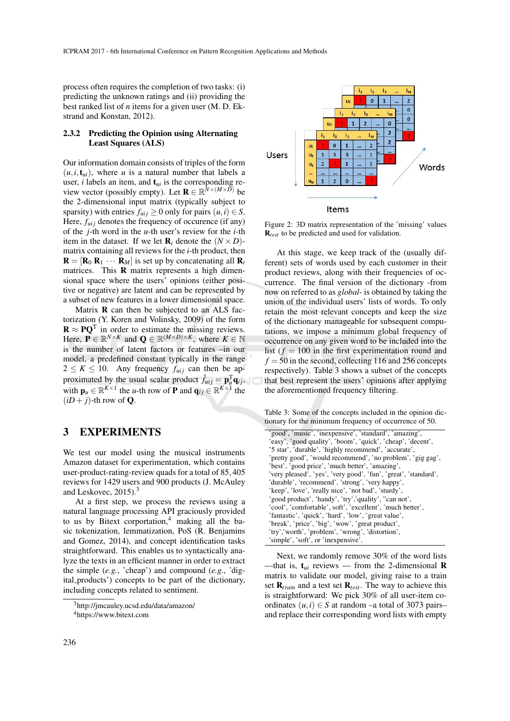process often requires the completion of two tasks: (i) predicting the unknown ratings and (ii) providing the best ranked list of *n* items for a given user (M. D. Ekstrand and Konstan, 2012).

#### 2.3.2 Predicting the Opinion using Alternating Least Squares (ALS)

Our information domain consists of triples of the form  $(u, i, t_{ui})$ , where *u* is a natural number that labels a user,  $i$  labels an item, and  $t_{ui}$  is the corresponding review vector (possibly empty). Let  $\mathbf{R} \in \mathbb{R}^{N \times (M \times D)}$  be the 2-dimensional input matrix (typically subject to sparsity) with entries  $f_{uij} \geq 0$  only for pairs  $(u, i) \in S$ . Here,  $f_{ui}$  denotes the frequency of occurence (if any) of the *j*-th word in the *u*-th user's review for the *i*-th item in the dataset. If we let  $\mathbf{R}_i$  denote the  $(N \times D)$ matrix containing all reviews for the *i*-th product, then  $\mathbf{R} = [\mathbf{R}_0 \ \mathbf{R}_1 \ \cdots \ \mathbf{R}_M]$  is set up by concatenating all  $\mathbf{R}_i$ matrices. This R matrix represents a high dimensional space where the users' opinions (either positive or negative) are latent and can be represented by a subset of new features in a lower dimensional space.

Matrix **R** can then be subjected to an ALS factorization (Y. Koren and Volinsky, 2009) of the form  $\mathbf{R} \approx \mathbf{P} \mathbf{Q}^{\mathrm{T}}$  in order to estimate the missing reviews. Here,  $P \in \mathbb{R}^{N \times K}$  and  $Q \in \mathbb{R}^{(M \times D) \times K}$ , where  $K \in \mathbb{N}$ is the number of latent factors or features –in our model, a predefined constant typically in the range  $2 \leq K \leq 10$ . Any frequency  $f_{uij}$  can then be approximated by the usual scalar product  $\hat{f}_{uij} = \mathbf{p}_u^{\mathrm{T}} \mathbf{q}_{ij}$ , with  $\mathbf{p}_u \in \mathbb{R}^{K \times 1}$  the *u*-th row of **P** and  $\mathbf{q}_{ij} \in \mathbb{R}^{K \times 1}$  the  $(iD + j)$ -th row of **Q**.

### 3 EXPERIMENTS

We test our model using the musical instruments Amazon dataset for experimentation, which contains user-product-rating-review quads for a total of 85,405 reviews for 1429 users and 900 products (J. McAuley and Leskovec,  $2015$ ).<sup>3</sup>

At a first step, we process the reviews using a natural language processing API graciously provided to us by Bitext corportation.<sup>4</sup> making all the basic tokenization, lemmatization, PoS (R. Benjamins and Gomez, 2014), and concept identification tasks straightforward. This enables us to syntactically analyze the texts in an efficient manner in order to extract the simple (*e.g.*, 'cheap') and compound (*e.g.*, 'digital products') concepts to be part of the dictionary, including concepts related to sentiment.



Figure 2: 3D matrix representation of the 'missing' values  **to be predicted and used for validation.** 

At this stage, we keep track of the (usually different) sets of words used by each customer in their product reviews, along with their frequencies of occurrence. The final version of the dictionary -from now on referred to as *global*- is obtained by taking the union of the individual users' lists of words. To only retain the most relevant concepts and keep the size of the dictionary manageable for subsequent computations, we impose a minimum global frequency of occurrence on any given word to be included into the list  $(f = 100$  in the first experimentation round and  $f = 50$  in the second, collecting 116 and 256 concepts respectively). Table 3 shows a subset of the concepts that best represent the users' opinions after applying the aforementioned frequency filtering.

Table 3: Some of the concepts included in the opinion dictionary for the minimum frequency of occurrence of 50.

| 'good', 'music', 'inexpensive', 'standard', 'amazing',          |
|-----------------------------------------------------------------|
| 'easy', 'good quality', 'boom', 'quick', 'cheap', 'decent',     |
| '5 star', 'durable', 'highly recommend', 'accurate',            |
| 'pretty good', 'would recommend', 'no problem', 'gig gag',      |
| 'best', 'good price', 'much better', 'amazing',                 |
| 'very pleased', 'yes', 'very good', 'fun', 'great', 'standard', |
| 'durable', 'recommend', 'strong', 'very happy',                 |
| 'keep', 'love', 'really nice', 'not bad', 'sturdy',             |
| 'good product', 'handy', 'try','quality', "can not',            |
| 'cool', 'comfortable', soft', 'excellent', 'much better',       |
| 'fantastic', 'quick', 'hard', 'low', 'great value',             |
| 'break', 'price', 'big', 'wow', 'great product',                |
| 'try','worth','problem','wrong','distortion',                   |
| 'simple', 'soft', or 'inexpensive'.                             |
|                                                                 |

Next, we randomly remove 30% of the word lists —that is,  $t_{ui}$  reviews — from the 2-dimensional **R** matrix to validate our model, giving raise to a train set  $\mathbf{R}_{train}$  and a test set  $\mathbf{R}_{test}$ . The way to achieve this is straightforward: We pick 30% of all user-item coordinates  $(u, i) \in S$  at random –a total of 3073 pairs– and replace their corresponding word lists with empty

<sup>3</sup>http://jmcauley.ucsd.edu/data/amazon/

<sup>4</sup>https://www.bitext.com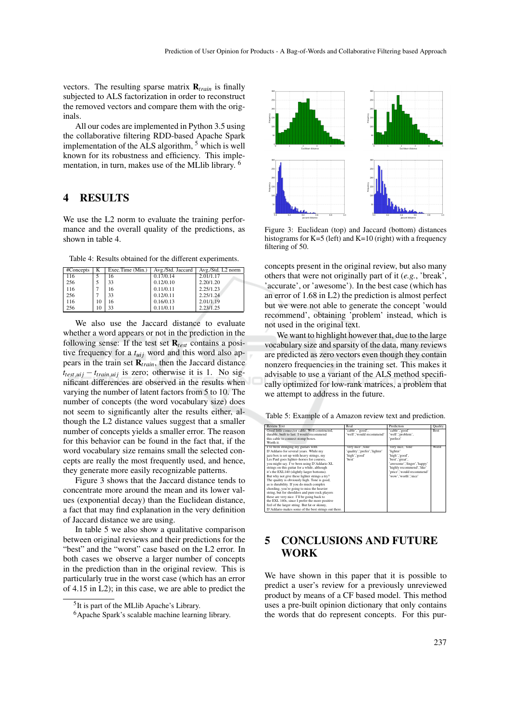vectors. The resulting sparse matrix  $\mathbf{R}_{train}$  is finally subjected to ALS factorization in order to reconstruct the removed vectors and compare them with the originals.

All our codes are implemented in Python 3.5 using the collaborative filtering RDD-based Apache Spark implementation of the ALS algorithm, <sup>5</sup> which is well known for its robustness and efficiency. This implementation, in turn, makes use of the MLlib library. <sup>6</sup>

## 4 RESULTS

We use the L2 norm to evaluate the training performance and the overall quality of the predictions, as shown in table 4.

Table 4: Results obtained for the different experiments.

| #Concepts | K  | Exec.Time (Min.) | Avg./Std. Jaccard | Avg./Std. L2 norm |
|-----------|----|------------------|-------------------|-------------------|
| 116       |    | 16               | 0.17/0.14         | 2.01/1.17         |
| 256       |    | 33               | 0.12/0.10         | 2.20/1.20         |
| 116       |    | 16               | 0.11/0.11         | 2.25/1.23         |
| 256       |    | 33               | 0.12/0.11         | 2.25/1.24         |
| 116       | 10 | 16               | 0.16/0.13         | 2.01/1.19         |
| 256       |    | 33               | 0.11/0.11         | 2.23/1.25         |

We also use the Jaccard distance to evaluate whether a word appears or not in the prediction in the following sense: If the test set  $\mathbf{R}_{test}$  contains a positive frequency for a  $t_{uij}$  word and this word also appears in the train set R*train*, then the Jaccard distance  $t_{test,uij} - t_{train,uij}$  is zero; otherwise it is 1. No significant differences are observed in the results when varying the number of latent factors from 5 to 10. The number of concepts (the word vocabulary size) does not seem to significantly alter the results either, although the L2 distance values suggest that a smaller number of concepts yields a smaller error. The reason for this behavior can be found in the fact that, if the word vocabulary size remains small the selected concepts are really the most frequently used, and hence, they generate more easily recognizable patterns.

Figure 3 shows that the Jaccard distance tends to concentrate more around the mean and its lower values (exponential decay) than the Euclidean distance, a fact that may find explanation in the very definition of Jaccard distance we are using.

In table 5 we also show a qualitative comparison between original reviews and their predictions for the "best" and the "worst" case based on the L2 error. In both cases we observe a larger number of concepts in the prediction than in the original review. This is particularly true in the worst case (which has an error of 4.15 in L2); in this case, we are able to predict the



Figure 3: Euclidean (top) and Jaccard (bottom) distances histograms for K=5 (left) and K=10 (right) with a frequency filtering of 50.

concepts present in the original review, but also many others that were not originally part of it (*e.g.*, 'break', 'accurate', or 'awesome'). In the best case (which has an error of 1.68 in L2) the prediction is almost perfect but we were not able to generate the concept 'would recommend', obtaining 'problem' instead, which is not used in the original text.

We want to highlight however that, due to the large vocabulary size and sparsity of the data, many reviews are predicted as zero vectors even though they contain nonzero frequencies in the training set. This makes it advisable to use a variant of the ALS method specifically optimized for low-rank matrices, a problem that we attempt to address in the future.

Table 5: Example of a Amazon review text and prediction.

| <b>Review Text</b>                                  | Real                         | Prediction                 | Quality     |
|-----------------------------------------------------|------------------------------|----------------------------|-------------|
| Good little connector cable. Well constructed.      | 'cable', 'good',             | 'cable','good'             | <b>Best</b> |
| durable, built to last. I would recommend           | 'well'.'would recommend'     | 'well','problem',          |             |
| this cable to connect stomp boxes.                  |                              | 'perfect'                  |             |
| Worth it                                            |                              |                            |             |
| I've been stringing my guitars with                 | 'very nice','tone'           | 'very nice, 'tone'         | Worst       |
| D'Addario for several years. While my               | 'quality','prefer','lighter' | 'lighter'                  |             |
| jazz box is set up with heavy strings, my           | 'high','good'                | 'high','good',             |             |
| Les Paul goes lighter-horses for courses,           | 'hest'                       | 'best','great',            |             |
| you might say. I've been using D'Addario XL         |                              | 'awesome','finger','happy' |             |
| strings on this guitar for a while, although        |                              | 'highly recommend','like'  |             |
| it's the EXL140 (slightly larger bottoms).          |                              | 'price','would recommend'  |             |
| But why not give these lighter strings a try?       |                              | 'wow'.'worth'.'nice'       |             |
| The quality is obviously high. Tone is good,        |                              |                            |             |
| as is durability. If you do much complex            |                              |                            |             |
| chording, you're going to miss the heavier          |                              |                            |             |
| string, but for shredders and pure rock players     |                              |                            |             |
| these are very nice. I'll be going back to          |                              |                            |             |
| the EXL 140s, since I prefer the more positive      |                              |                            |             |
| feel of the larger string. But fat or skinny,       |                              |                            |             |
| D'Addario makes some of the best strings out there. |                              |                            |             |

# 5 CONCLUSIONS AND FUTURE WORK

We have shown in this paper that it is possible to predict a user's review for a previously unreviewed product by means of a CF based model. This method uses a pre-built opinion dictionary that only contains the words that do represent concepts. For this pur-

<sup>&</sup>lt;sup>5</sup>It is part of the MLlib Apache's Library.

<sup>6</sup>Apache Spark's scalable machine learning library.